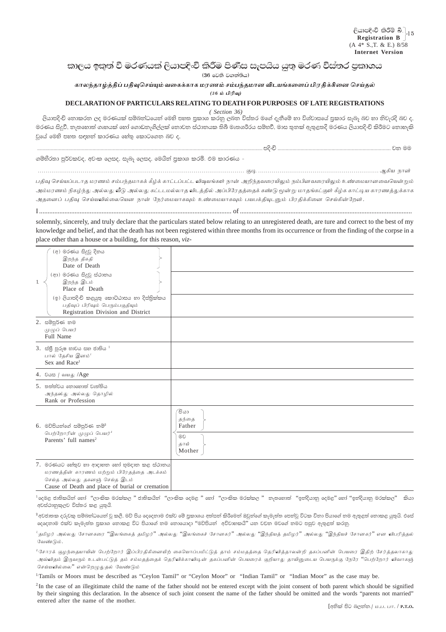## කාලය ඉකුත් වී මරණයක් ලියාපදිංචි කිරීම පිණිස සැපයිය යුතු මරණ විස්තර පුකාශය

(36 වෙති වගන්තිය)

## காலந்தாழ்த்திப் பதிவுசெய்யும் வகைக்காக மரணம் சம்பந்தமான விடயங்களைப் பிரதிக்கினை செய்தல்  $(36 \nleftrightarrow \nparallel \nparallel \nparallel \nabla)$

## DECLARATION OF PARTICULARS RELATING TO DEATH FOR PURPOSES OF LATE REGISTRATIONS

 $(Section 36)$ 

ලියාපදිංචි තොකරන ලද මරණයක් සම්බන්ධයෙන් මෙහි පහත පුකාශ කරනු ලබන ව්ස්තර මගේ දැනීමේ හා විශ්වාසයේ පුකාර සැබෑ බව හා නිවැරදි බව ද, මරණය සිදුවී, තැතහොත් ගෘහයක් හෝ ගොඩතැගිල්ලක් තොවත ස්ථානයක තිබී මෘතශරීරය සම්භවී, මාස තුනක් ඇතුළතදී මරණය ලියාපදිංචි කිරීමට තොහැකි වුයේ මෙහි පහත සඳහන් කාරණය හේතු කොටගෙන බව ද,

ගම්හීරතා පූර්වකවද, අවංක ලෙසද, සැබෑ ලෙසද, මෙයින් පුකාශ කරමි. එම කාරණය –

பதிவு செய்யப்படாத மரணம் சம்பந்தமாகக் கீழ்க் காட்டப்பட்ட விஷயங்கள் நான் அறிந்தவரையிலும் நம்பினவரையிலும் உண்மையானவையென்றும் அம்மரணம் நிகழ்ந்து அல்லது வீடு அல்லது கட்டடமல்லாத விடத்தில் அப்பிரேதத்தைக் கண்டு மூன்று மாதங்கட்குள் கீழ்க காட்டிய காரணத்துக்காக அதனைப் பதிவு செய்யவில்லையென நான் நேர்மையாகவும் உண்மையாகவும் பயபக்தியுடனும் பிரதிக்கினை செய்கின்றேன்.

solemnly, sincerely, and truly declare that the particulars stated below relating to an unregistered death, are ture and correct to the best of my knowledge and belief, and that the death has not been registered within three months from its occurrence or from the finding of the corpse in a place other than a house or a building, for this reason, viz-

| $\mathbf{1}$ . | (අ) මරණය සිදුවු දිනය<br>இறந்த திகதி<br>Date of Death<br>(ආ) මරණය සිදුවූ ස්ථානය<br>இறந்த இடம்<br>Place of Death<br>(ඉ) ලියාපදිංචි කළයුතු කොට්ඨාසය හා දිස්තිුක්කය<br>பதிவுப் பிரிவும் பெரும்பகுதியும்<br>Registration Division and District |                                                |
|----------------|-------------------------------------------------------------------------------------------------------------------------------------------------------------------------------------------------------------------------------------------|------------------------------------------------|
|                | 2. සම්පූර්ණ නම<br>முழுப் பெயர்<br>Full Name                                                                                                                                                                                               |                                                |
|                | $3.$ ස්තුි පුරුෂ භාවය සහ ජාතිය $^{-1}$<br>பால் தேசிய இனம் <sup>1</sup><br>Sex and Race <sup>1</sup>                                                                                                                                       |                                                |
|                | 4. වයස / வயது /Age                                                                                                                                                                                                                        |                                                |
|                | 5. තත්ත්වය තොහොත් වෘත්තිය<br>அந்தஸ்து அல்லது தொழில்<br>Rank or Profession                                                                                                                                                                 |                                                |
|                | 6. මව්පියන්ගේ සම්පූර්ණ නම් <sup>2</sup><br>பெற்றோரின் முழுப் பெயர் <sup>2</sup><br>Parents' full names <sup>2</sup>                                                                                                                       | ියා<br>தந்தை<br>Father<br>මව<br>தாய்<br>Mother |
|                | 7. මරණයට හේතුව හා ආදාහත හෝ භුමදාන කළ ස්ථානය<br>மரணத்தின் காரணம் மற்றும் பிரேதத்தை அடக்கம்<br>செய்த அல்லது ககனஞ் செய்த இடம்                                                                                                                |                                                |

Cause of Death and place of burial or cremation

.<br><sup>1</sup>දෙමළ ජාතිකයින් හෝ ''ලාංකික මරක්කල '' ජාතිකයින් ''ලාංකික දෙමළ '' හෝ ''ලාංකික මරක්කල '' නැතහොත් ''ඉන්දියානු දෙමළ'' හෝ ''ඉන්දියානු මරක්කල'' කියා අවස්ථානුකූලව විස්තර කළ යුතුයි.

<sup>2</sup> අවජාතක දරුවකු සම්බන්ධයෙන් වූ කලී, මව් පිය දෙදෙනාම එක්ව මේ පුකාශය අත්සන් කිරීමෙන් ඔවුන්ගේ කැමැත්ත පෙන්වූ විටක විනා පියාගේ නම ඇතුළත් නොකළ යුතුයි. එසේ දෙදෙනාම එක්ව කැමැත්ත පුකාශ නොකළ විට පියාගේ නම නොයොදා ''මව්පියන් අවිවාහකයි'' යන වචන මවගේ නමට පසුව ඇතුළත් කරනු.

<sup>1</sup>தமிழர் அல்லது சோனகரை ''இலங்கைத் தமிழர்'' அல்லது ''இலங்கைச் சோனகர்'' அல்லது ''இந்தியத் தமிழர்'' அல்லது ''இந்தியச் சோனகர்'' என விபரித்தல் வேண்டும்.

<sup>உ</sup>சோரக் குழந்தையாயின் பெற்றோர் இப்பிரதிகினையிற் கையொப்பமிட்டுத் தாம் சம்மதத்தை தெரிவித்தாலன்றி தகப்பனின் பெயரை இதிற் சேர்த்தலாகாது அவ்விதம் இருவரும் உடன்பட்டுத் தம் சம்மதத்தைக் தெரிவிக்காவிடின் தகப்பனின் பெயரைக் குறியாது தாயினுடைய பெயருக்கு நேரே ''பெற்றோர் விவாகஞ் செய்யவில்லை'' என்றெழுதுதல் வேண்டும்

<sup>1</sup>Tamils or Moors must be described as "Ceylon Tamil" or "Ceylon Moor" or "Indian Tamil" or "Indian Moor" as the case may be.

<sup>2</sup>In the case of an illegitimate child the name of the father should not be entered except with the joint consent of both parent which should be signified by their singning this declaration. In the absence of such joint consent the name of the father should be omitted and the words "parents not married" entered after the name of the mother.